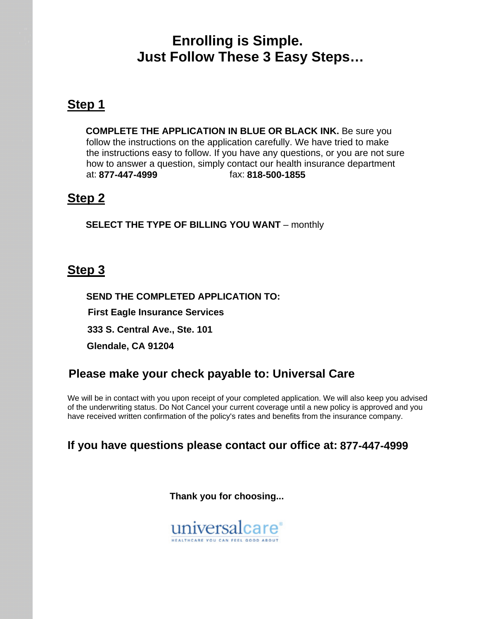### **Enrolling is Simple. Just Follow These 3 Easy Steps…**

### **Step 1**

 **COMPLETE THE APPLICATION IN BLUE OR BLACK INK.** Be sure you follow the instructions on the application carefully. We have tried to make the instructions easy to follow. If you have any questions, or you are not sure how to answer a question, simply contact our health insurance department at: 877-447-4999 **877-447-4999 818-500-1855**

#### **Step 2**

**SELECT THE TYPE OF BILLING YOU WANT** – monthly

### **Step 3**

 **SEND THE COMPLETED APPLICATION TO: First Eagle Insurance Services 333 S. Central Ave., Ste. 101 Glendale, CA 91204**

### **Please make your check payable to: Universal Care**

 We will be in contact with you upon receipt of your completed application. We will also keep you advised of the underwriting status. Do Not Cancel your current coverage until a new policy is approved and you have received written confirmation of the policy's rates and benefits from the insurance company.

#### **If you have questions please contact our office at: 877-447-4999**

 **Thank you for choosing...** 

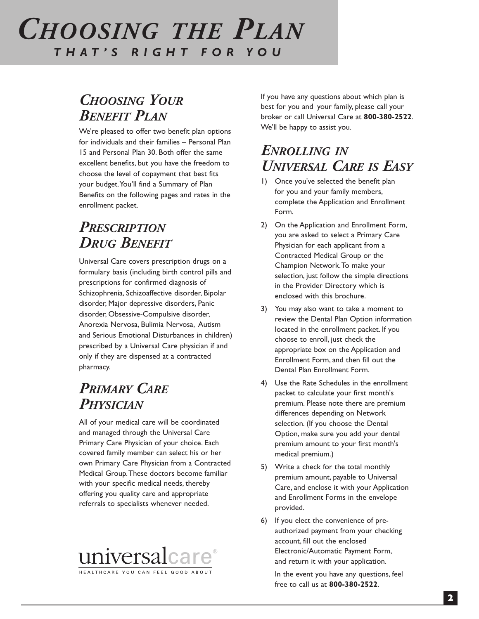# *THE PERSONAL PLAN CHOOSING THE PPLAN LA THAT'S RIGHT FOR YOU*

# *CHOOSING YOUR BENEFIT PLAN*

We're pleased to offer two benefit plan options for individuals and their families – Personal Plan 15 and Personal Plan 30. Both offer the same excellent benefits, but you have the freedom to choose the level of copayment that best fits your budget.You'll find a Summary of Plan Benefits on the following pages and rates in the enrollment packet.

# *PRESCRIPTION DRUG BENEFIT*

Universal Care covers prescription drugs on a formulary basis (including birth control pills and prescriptions for confirmed diagnosis of Schizophrenia, Schizoaffective disorder, Bipolar disorder, Major depressive disorders, Panic disorder, Obsessive-Compulsive disorder, Anorexia Nervosa, Bulimia Nervosa, Autism and Serious Emotional Disturbances in children) prescribed by a Universal Care physician if and only if they are dispensed at a contracted pharmacy.

# *PRIMARY CARE PHYSICIAN*

All of your medical care will be coordinated and managed through the Universal Care Primary Care Physician of your choice. Each covered family member can select his or her own Primary Care Physician from a Contracted Medical Group.These doctors become familiar with your specific medical needs, thereby offering you quality care and appropriate referrals to specialists whenever needed.



If you have any questions about which plan is best for you and your family, please call your broker or call Universal Care at **800-380-2522**. We'll be happy to assist you.

### *ENROLLING IN UNIVERSAL CARE IS EASY*

- 1) Once you've selected the benefit plan for you and your family members, complete the Application and Enrollment Form.
- 2) On the Application and Enrollment Form, you are asked to select a Primary Care Physician for each applicant from a Contracted Medical Group or the Champion Network.To make your selection, just follow the simple directions in the Provider Directory which is enclosed with this brochure.
- 3) You may also want to take a moment to review the Dental Plan Option information located in the enrollment packet. If you choose to enroll, just check the appropriate box on the Application and Enrollment Form, and then fill out the Dental Plan Enrollment Form.
- 4) Use the Rate Schedules in the enrollment packet to calculate your first month's premium. Please note there are premium differences depending on Network selection. (If you choose the Dental Option, make sure you add your dental premium amount to your first month's medical premium.)
- 5) Write a check for the total monthly premium amount, payable to Universal Care, and enclose it with your Application and Enrollment Forms in the envelope provided.
- 6) If you elect the convenience of preauthorized payment from your checking account, fill out the enclosed Electronic/Automatic Payment Form, and return it with your application.

In the event you have any questions, feel free to call us at **800-380-2522**.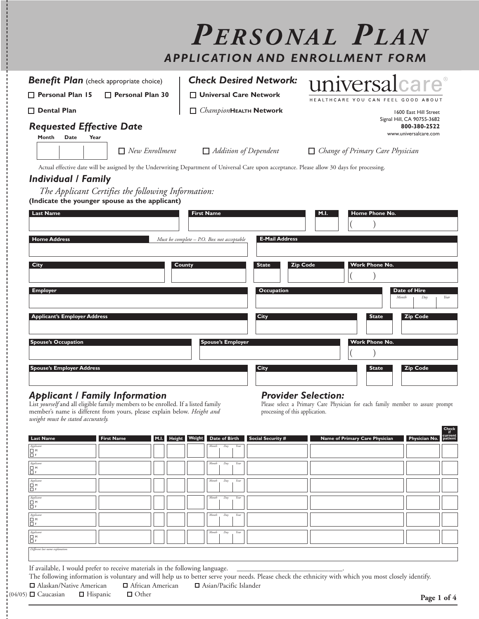|                                                                                                                                                 |                                                                                            | PERSONAL PLAN<br><b>APPLICATION AND ENROLLMENT FORM</b> |
|-------------------------------------------------------------------------------------------------------------------------------------------------|--------------------------------------------------------------------------------------------|---------------------------------------------------------|
| <b>Benefit Plan</b> (check appropriate choice)                                                                                                  | <b>Check Desired Network:</b>                                                              | universalcare®                                          |
| Personal Plan 15<br>Personal Plan 30                                                                                                            | □ Universal Care Network                                                                   | HEALTHCARE YOU CAN FEEL GOOD ABOUT                      |
| $\Box$ Dental Plan                                                                                                                              | ChampionHEALTH Network                                                                     | 1600 East Hill Street<br>Signal Hill, CA 90755-3682     |
| <b>Requested Effective Date</b><br>Month<br>Date<br>Year                                                                                        |                                                                                            | 800-380-2522<br>www.universalcare.com                   |
| $\Box$ New Enrollment                                                                                                                           | $\Box$ Addition of Dependent                                                               | $\Box$ Change of Primary Care Physician                 |
| The Applicant Certifies the following Information:<br>(Indicate the younger spouse as the applicant)<br><b>Last Name</b><br><b>Home Address</b> | <b>First Name</b><br><b>E-Mail Address</b><br>Must be complete $-$ P.O. Box not acceptable | Home Phone No.<br>M.I.                                  |
| City                                                                                                                                            | <b>State</b><br>County                                                                     | <b>Work Phone No.</b><br><b>Zip Code</b>                |
| <b>Employer</b>                                                                                                                                 | Occupation                                                                                 | Date of Hire<br>Month<br>Day<br>Year                    |
| <b>Applicant's Employer Address</b>                                                                                                             | City                                                                                       | <b>Zip Code</b><br><b>State</b>                         |
| <b>Spouse's Occupation</b>                                                                                                                      | <b>Spouse's Employer</b>                                                                   | <b>Work Phone No.</b>                                   |
| <b>Spouse's Employer Address</b>                                                                                                                | City                                                                                       | <b>State</b><br><b>Zip Code</b>                         |
|                                                                                                                                                 |                                                                                            | $D_{max}$ $d_{max}$ $C_{max}$                           |

#### *Applicant / Family Information*

List *yourself* and all eligible family members to be enrolled. If a listed family member's name is different from yours, please explain below. *Height and weight must be stated accurately.*

#### *Provider Selection:*

Please select a Primary Care Physician for each family member to assure prompt processing of this application.

| $\begin{tabular}{ c c } \hline Appendix & \textbf{M} & \textbf{M} & \textbf{M} & \textbf{M} & \textbf{M} \\ \hline \textbf{L} & \textbf{M} & \textbf{L} & \textbf{M} & \textbf{M} & \textbf{M} \\ \hline \textbf{L} & \textbf{L} & \textbf{L} & \textbf{L} & \textbf{M} & \textbf{M} & \textbf{M} \\ \hline \textbf{L} & \textbf{L} & \textbf{L} & \textbf{L} & \textbf{M} & \textbf{M} & \textbf{M} & \textbf{M} & \textbf{M} & \textbf{M$<br>Applicant |                                                                                          |  | Year<br>Month<br>Day |                                                                                                                                                      |  |
|----------------------------------------------------------------------------------------------------------------------------------------------------------------------------------------------------------------------------------------------------------------------------------------------------------------------------------------------------------------------------------------------------------------------------------------------------------|------------------------------------------------------------------------------------------|--|----------------------|------------------------------------------------------------------------------------------------------------------------------------------------------|--|
| E¤                                                                                                                                                                                                                                                                                                                                                                                                                                                       |                                                                                          |  |                      |                                                                                                                                                      |  |
| Applicant<br>B <sup>m</sup>                                                                                                                                                                                                                                                                                                                                                                                                                              |                                                                                          |  | Year<br>Month<br>Day |                                                                                                                                                      |  |
| Applicant<br>Ë.                                                                                                                                                                                                                                                                                                                                                                                                                                          |                                                                                          |  | Month<br>Year<br>Day |                                                                                                                                                      |  |
| Applicant<br>∣□ M<br>Iō۶                                                                                                                                                                                                                                                                                                                                                                                                                                 |                                                                                          |  | Year<br>Month<br>Day |                                                                                                                                                      |  |
| Applicant<br>Br<br>Br                                                                                                                                                                                                                                                                                                                                                                                                                                    |                                                                                          |  | Year<br>Month<br>Day |                                                                                                                                                      |  |
| Different last name explanation:                                                                                                                                                                                                                                                                                                                                                                                                                         |                                                                                          |  |                      |                                                                                                                                                      |  |
|                                                                                                                                                                                                                                                                                                                                                                                                                                                          | If available, I would prefer to receive materials in the following language. ___________ |  |                      |                                                                                                                                                      |  |
| $\Box$ Alaskan/Native American $\Box$ African American $\Box$ Asian/Pacific Islander                                                                                                                                                                                                                                                                                                                                                                     |                                                                                          |  |                      | The following information is voluntary and will help us to better serve your needs. Please check the ethnicity with which you most closely identify. |  |

**Check**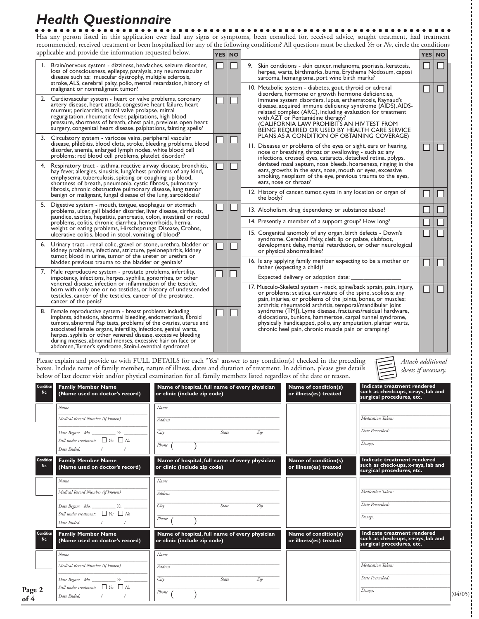# *Health Questionnaire*

 $\begin{array}{ccccccccccccccccc} \bullet & \bullet & \bullet & \bullet & \bullet & \bullet & \bullet \end{array}$ Has any person listed in this application ever had any signs or symptoms, been consulted for, received advice, sought treatment, had treatment recommended, received treatment or been hospitalized for any of the following conditions? All questions must be checked *Yes* or *No*, circle the conditions applicable and provide the information requested below.

|    | applicable and provide the information requested below.                                                                                                                                                                                                                                                                                                                                                                                                     | <b>YES NO</b>                                                                                                                                                                                                                                                                                                                                                                                                                                                                                                                                                                                                                                    |  |                                                                                                                                                                                                                                                                      | <b>YES NO</b> |  |
|----|-------------------------------------------------------------------------------------------------------------------------------------------------------------------------------------------------------------------------------------------------------------------------------------------------------------------------------------------------------------------------------------------------------------------------------------------------------------|--------------------------------------------------------------------------------------------------------------------------------------------------------------------------------------------------------------------------------------------------------------------------------------------------------------------------------------------------------------------------------------------------------------------------------------------------------------------------------------------------------------------------------------------------------------------------------------------------------------------------------------------------|--|----------------------------------------------------------------------------------------------------------------------------------------------------------------------------------------------------------------------------------------------------------------------|---------------|--|
|    | 1. Brain/nervous system - dizziness, headaches, seizure disorder,<br>loss of consciousness, epilepsy, paralysis, any neuromuscular<br>disease such as: muscular dystrophy, multiple sclerosis,<br>stroke, ALS, cerebral palsy, polio, mental retardation, history of                                                                                                                                                                                        |                                                                                                                                                                                                                                                                                                                                                                                                                                                                                                                                                                                                                                                  |  | 9. Skin conditions - skin cancer, melanoma, psoriasis, keratosis,<br>herpes, warts, birthmarks, burns, Erythema Nodosum, caposi<br>sarcoma, hemangioma, port wine birth marks?                                                                                       |               |  |
|    | malignant or nonmalignant tumor?<br>2. Cardiovascular system - heart or valve problems, coronary<br>artery disease, heart attack, congestive heart failure, heart<br>murmur, pericarditis, mitral valve prolapse, mitral<br>regurgitation, rheumatic fever, palpitations, high blood<br>pressure, shortness of breath, chest pain, previous open heart                                                                                                      | 10. Metabolic system - diabetes, gout, thyroid or adrenal<br>disorders, hormone or growth hormone deficiencies,<br>immune system disorders, lupus, erthematosis, Raynaud's<br>with AZT or Pentamidine therapy?<br>(CALIFORNIA LAW PROHIBITS AN HIV TEST FROM<br>BEING REQUIRED OR USED BY HEALTH CARE SERVICE<br>PLANS AS A CONDITION OF OBTAINING COVERAGE)<br>11. Diseases or problems of the eyes or sight, ears or hearing,<br>nose or breathing, throat or swallowing - such as: any<br>infections, crossed eyes, cataracts, detached retina, polyps,<br>ears, growths in the ears, nose, mouth or eyes, excessive<br>ears, nose or throat? |  | disease, acquired immune deficiency syndrome (AIDS), AIDS-<br>related complex (ARC), including evaluation for treatment                                                                                                                                              |               |  |
|    | surgery, congenital heart disease, palpitations, fainting spells?<br>3. Circulatory system - varicose veins, peripheral vascular<br>disease, phlebitis, blood clots, stroke, bleeding problems, blood<br>disorder, anemia, enlarged lymph nodes, white blood cell<br>problems; red blood cell problems, platelet disorder?                                                                                                                                  |                                                                                                                                                                                                                                                                                                                                                                                                                                                                                                                                                                                                                                                  |  |                                                                                                                                                                                                                                                                      |               |  |
| 4. | Respiratory tract - asthma, reactive airway disease, bronchitis,<br>hay fever, allergies, sinusitis, lung/chest problems of any kind,<br>emphysema, tuberculosis, spitting or coughing up blood,<br>shortness of breath, pneumonia, cystic fibrosis, pulmonary<br>fibrosis, chronic obstructive pulmonary disease, lung tumor                                                                                                                               |                                                                                                                                                                                                                                                                                                                                                                                                                                                                                                                                                                                                                                                  |  | deviated nasal septum, nose bleeds, hoarseness, ringing in the<br>smoking, neoplasm of the eye, previous trauma to the eyes,                                                                                                                                         |               |  |
|    | benign or malignant, fungal disease of the lung, sarcoidosis?                                                                                                                                                                                                                                                                                                                                                                                               |                                                                                                                                                                                                                                                                                                                                                                                                                                                                                                                                                                                                                                                  |  | 12. History of cancer, tumor, cysts in any location or organ of<br>the body?                                                                                                                                                                                         |               |  |
|    | 5. Digestive system - mouth, tongue, esophagus or stomach<br>problems, ulcer, gall bladder disorder, liver disease, cirrhosis,<br>jaundice, ascites, hepatitis, pancreatis, colon, intestinal or rectal<br>problems, colitis, chronic diarrhea, hemorrhoids, hernia,                                                                                                                                                                                        |                                                                                                                                                                                                                                                                                                                                                                                                                                                                                                                                                                                                                                                  |  | 13. Alcoholism, drug dependency or substance abuse?                                                                                                                                                                                                                  |               |  |
|    |                                                                                                                                                                                                                                                                                                                                                                                                                                                             |                                                                                                                                                                                                                                                                                                                                                                                                                                                                                                                                                                                                                                                  |  | 14. Presently a member of a support group? How long?                                                                                                                                                                                                                 |               |  |
|    | weight or eating problems, Hirschsprungs Disease, Crohns,<br>ulcerative colitis, blood in stool, vomiting of blood?                                                                                                                                                                                                                                                                                                                                         |                                                                                                                                                                                                                                                                                                                                                                                                                                                                                                                                                                                                                                                  |  | 15. Congenital anomoly of any organ, birth defects - Down's<br>syndrome, Cerebral Palsy, cleft lip or palate, clubfoot,                                                                                                                                              |               |  |
|    | 6. Urinary tract - renal colic, gravel or stone, urethra, bladder or<br>kidney problems, infections, stricture, pyelonephritis, kidney<br>tumor, blood in urine, tumor of the ureter or urethra or                                                                                                                                                                                                                                                          | or physical abnormalities?                                                                                                                                                                                                                                                                                                                                                                                                                                                                                                                                                                                                                       |  | development delay, mental retardation, or other neurological                                                                                                                                                                                                         |               |  |
|    | bladder, previous trauma to the bladder or genitals?                                                                                                                                                                                                                                                                                                                                                                                                        |                                                                                                                                                                                                                                                                                                                                                                                                                                                                                                                                                                                                                                                  |  | 16. Is any applying family member expecting to be a mother or<br>father (expecting a child)?                                                                                                                                                                         |               |  |
| 7. | Male reproductive system - prostate problems, infertility,<br>impotency, infections, herpes, syphilis, gonorrhea, or other                                                                                                                                                                                                                                                                                                                                  |                                                                                                                                                                                                                                                                                                                                                                                                                                                                                                                                                                                                                                                  |  | Expected delivery or adoption date:                                                                                                                                                                                                                                  |               |  |
|    | venereal disease, infection or inflammation of the testicle,<br>born with only one or no testicles, or history of undescended<br>testicles, cancer of the testicles, cancer of the prostrate,<br>cancer of the penis?                                                                                                                                                                                                                                       |                                                                                                                                                                                                                                                                                                                                                                                                                                                                                                                                                                                                                                                  |  | 17. Musculo-Skeletal system - neck, spine/back sprain, pain, injury,<br>or problems; sciatica, curvature of the spine, scoliosis; any<br>pain, injuries, or problems of the joints, bones, or muscles;<br>arthritis; rheumatoid arthritis, temporal/mandibular joint |               |  |
|    | 8. Female reproductive system - breast problems including<br>implants, adhesions, abnormal bleeding, endometriosis, fibroid<br>tumors, abnormal Pap tests, problems of the ovaries, uterus and<br>associated female organs, infertility, infections, genital warts,<br>herpes, syphilis or other venereal disease, excessive bleeding<br>during menses, abnormal menses, excessive hair on face or<br>abdomen, Turner's syndrome, Stein-Leventhal syndrome? |                                                                                                                                                                                                                                                                                                                                                                                                                                                                                                                                                                                                                                                  |  | syndrome (TMJ), Lyme disease, fractures/residual hardware,<br>dislocations, bunions, hammertoe, carpal tunnel syndrome,<br>physically handicapped, polio, any amputation, plantar warts,<br>chronic heel pain, chronic muscle pain or cramping?                      |               |  |

Please explain and provide us with FULL DETAILS for each "Yes" answer to any condition(s) checked in the preceding boxes. Include name of family member, nature of illness, dates and duration of treatment. In addition, please give details below of last doctor visit and/or physical examination for all family members listed regardless of the date or reason.

| Attach additional    |
|----------------------|
| sheets if necessary. |

| Condition<br>No. | <b>Family Member Name</b><br>(Name used on doctor's record)                                            | Name of hospital, full name of every physician<br>or clinic (include zip code)          | Name of condition(s)<br>or illness(es) treated | Indicate treatment rendered<br>such as check-ups, x-rays, lab and<br>surgical procedures, etc. |         |
|------------------|--------------------------------------------------------------------------------------------------------|-----------------------------------------------------------------------------------------|------------------------------------------------|------------------------------------------------------------------------------------------------|---------|
|                  | Name<br>Medical Record Number (if known)                                                               | Name                                                                                    |                                                | Medication Taken:                                                                              |         |
|                  | Date Began: Mo. ___________ Yr. _____<br>Still under treatment: $\Box$ Yes $\Box$ No                   | <b>Address</b><br>City<br>State<br>Zip                                                  |                                                | Date Prescribed:<br>Dosage:                                                                    |         |
| Condition<br>No. | Date Ended: / / /<br><b>Family Member Name</b><br>(Name used on doctor's record)                       | Phone<br>Name of hospital, full name of every physician<br>or clinic (include zip code) | Name of condition(s)<br>or illness(es) treated | Indicate treatment rendered<br>such as check-ups, x-rays, lab and<br>surgical procedures, etc. |         |
|                  | Name<br>Medical Record Number (if known)                                                               | Name<br><b>Address</b>                                                                  |                                                | Medication Taken:                                                                              |         |
|                  | Still under treatment: $\Box$ Yes $\Box$ No<br>Date Ended: /                                           | City<br>State<br>Zip<br>Phone                                                           |                                                | Date Prescribed:<br>Dosage:                                                                    |         |
| Condition<br>No. | <b>Family Member Name</b><br>(Name used on doctor's record)                                            | Name of hospital, full name of every physician<br>or clinic (include zip code)          | Name of condition(s)<br>or illness(es) treated | Indicate treatment rendered<br>such as check-ups, x-rays, lab and<br>surgical procedures, etc. |         |
|                  | Name<br>Medical Record Number (if known)                                                               | Name<br>Address                                                                         |                                                | Medication Taken:                                                                              |         |
| Page 2<br>of 4   | Date Began: Mo. ___________ Yr. ____<br>Still under treatment: $\Box$ Yes $\Box$ No<br>Date Ended: / / | City<br>State<br>Zip<br>Phone                                                           |                                                | Date Prescribed:<br>Dosage:                                                                    | (04/05) |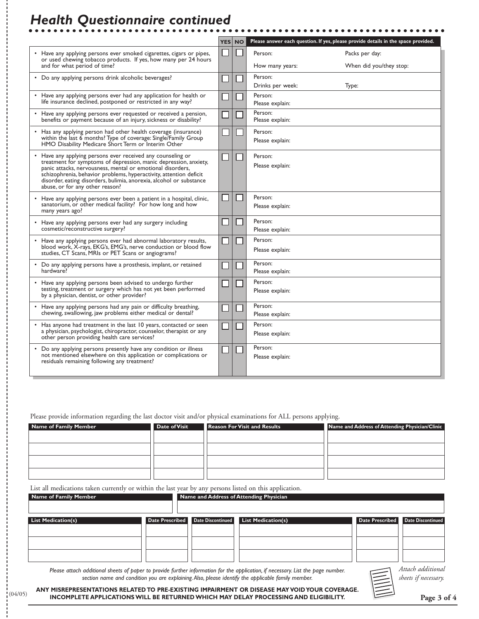## *Health Questionnaire continued*

|                                                                                                                                                                                                                                                                                                                                                                               | <b>YES</b> | <b>NO</b> |                             | Please answer each question. If yes, please provide details in the space provided. |
|-------------------------------------------------------------------------------------------------------------------------------------------------------------------------------------------------------------------------------------------------------------------------------------------------------------------------------------------------------------------------------|------------|-----------|-----------------------------|------------------------------------------------------------------------------------|
| Have any applying persons ever smoked cigarettes, cigars or pipes,<br>or used chewing tobacco products. If yes, how many per 24 hours                                                                                                                                                                                                                                         |            |           | Person:                     | Packs per day:                                                                     |
| and for what period of time?                                                                                                                                                                                                                                                                                                                                                  |            |           | How many years:             | When did you/they stop:                                                            |
| • Do any applying persons drink alcoholic beverages?                                                                                                                                                                                                                                                                                                                          |            |           | Person:<br>Drinks per week: | Type:                                                                              |
| • Have any applying persons ever had any application for health or<br>life insurance declined, postponed or restricted in any way?                                                                                                                                                                                                                                            |            |           | Person:<br>Please explain:  |                                                                                    |
| • Have any applying persons ever requested or received a pension,<br>benefits or payment because of an injury, sickness or disability?                                                                                                                                                                                                                                        |            |           | Person:<br>Please explain:  |                                                                                    |
| Has any applying person had other health coverage (insurance)<br>within the last 6 months? Type of coverage: Single/Family Group<br>HMO Disability Medicare Short Term or Interim Other                                                                                                                                                                                       |            |           | Person:<br>Please explain:  |                                                                                    |
| • Have any applying persons ever received any counseling or<br>treatment for symptoms of depression, manic depression, anxiety,<br>panic attacks, nervousness, mental or emotional disorders,<br>schizophrenia, behavior problems, hyperactivity, attention deficit<br>disorder, eating disorders, bulimia, anorexia, alcohol or substance<br>abuse, or for any other reason? |            |           | Person:<br>Please explain:  |                                                                                    |
| • Have any applying persons ever been a patient in a hospital, clinic,<br>sanatorium, or other medical facility? For how long and how<br>many years ago?                                                                                                                                                                                                                      |            |           | Person:<br>Please explain:  |                                                                                    |
| • Have any applying persons ever had any surgery including<br>cosmetic/reconstructive surgery?                                                                                                                                                                                                                                                                                |            |           | Person:<br>Please explain:  |                                                                                    |
| • Have any applying persons ever had abnormal laboratory results,<br>blood work, X-rays, EKG's, EMG's, nerve conduction or blood flow<br>studies, CT Scans, MRIs or PET Scans or angiograms?                                                                                                                                                                                  |            |           | Person:<br>Please explain:  |                                                                                    |
| • Do any applying persons have a prosthesis, implant, or retained<br>hardware?                                                                                                                                                                                                                                                                                                |            |           | Person:<br>Please explain:  |                                                                                    |
| • Have any applying persons been advised to undergo further<br>testing, treatment or surgery which has not yet been performed<br>by a physician, dentist, or other provider?                                                                                                                                                                                                  |            |           | Person:<br>Please explain:  |                                                                                    |
| • Have any applying persons had any pain or difficulty breathing,<br>chewing, swallowing, jaw problems either medical or dental?                                                                                                                                                                                                                                              |            |           | Person:<br>Please explain:  |                                                                                    |
| • Has anyone had treatment in the last 10 years, contacted or seen<br>a physician, psychologist, chiropractor, counselor, therapist or any<br>other person providing health care services?                                                                                                                                                                                    |            |           | Person:<br>Please explain:  |                                                                                    |
| Do any applying persons presently have any condition or illness<br>not mentioned elsewhere on this application or complications or<br>residuals remaining following any treatment?                                                                                                                                                                                            |            |           | Person:<br>Please explain:  |                                                                                    |

Please provide information regarding the last doctor visit and/or physical examinations for ALL persons applying.

| <b>Name of Family Member</b> | <b>Date of Visit</b> | <b>Reason For Visit and Results</b> | Name and Address of Attending Physician/Clinic |
|------------------------------|----------------------|-------------------------------------|------------------------------------------------|
|                              |                      |                                     |                                                |
|                              |                      |                                     |                                                |
|                              |                      |                                     |                                                |
|                              |                      |                                     |                                                |
|                              |                      |                                     |                                                |

List all medications taken currently or within the last year by any persons listed on this application.

(04/05)

| Name of Family Member     |                                   | . | . .<br>Name and Address of Attending Physician |                                   |
|---------------------------|-----------------------------------|---|------------------------------------------------|-----------------------------------|
| <b>List Medication(s)</b> | Date Prescribed Date Discontinued |   | <b>List Medication(s)</b>                      | Date Prescribed Date Discontinued |
|                           |                                   |   |                                                |                                   |

*Please attach additional sheets of paper to provide further information for the application, if necessary. List the page number. section name and condition you are explaining.Also, please identify the applicable family member.*

*Attach additional sheets if necessary.*

**ANY MISREPRESENTATIONS RELATED TO PRE-EXISTING IMPAIRMENT OR DISEASE MAY VOID YOUR COVERAGE. INCOMPLETE APPLICATIONS WILL BE RETURNED WHICH MAY DELAY PROCESSING AND ELIGIBILITY.**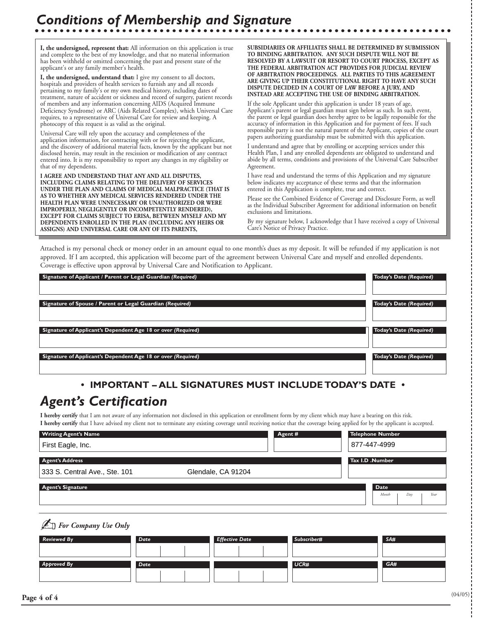**I, the undersigned, represent that:** All information on this application is true and complete to the best of my knowledge, and that no material information has been withheld or omitted concerning the past and present state of the applicant's or any family member's health.

**I, the undersigned, understand that:** I give my consent to all doctors, hospitals and providers of health services to furnish any and all records pertaining to my family's or my own medical history, including dates of treatment, nature of accident or sickness and record of surgery, patient records of members and any information concerning AIDS (Acquired Immune Deficiency Syndrome) or ARC (Aids Related Complex), which Universal Care requires, to a representative of Universal Care for review and keeping. A photocopy of this request is as valid as the original.

Universal Care will rely upon the accuracy and completeness of the application information, for contracting with or for rejecting the applicant, and the discovery of additional material facts, known by the applicant but not disclosed herein, may result in the rescission or modification of any contract entered into. It is my responsibility to report any changes in my eligibility or that of my dependents.

**I AGREE AND UNDERSTAND THAT ANY AND ALL DISPUTES, INCLUDING CLAIMS RELATING TO THE DELIVERY OF SERVICES UNDER THE PLAN AND CLAIMS OF MEDICAL MALPRACTICE (THAT IS AS TO WHETHER ANY MEDICAL SERVICES RENDERED UNDER THE HEALTH PLAN WERE UNNECESSARY OR UNAUTHORIZED OR WERE IMPROPERLY, NEGLIGENTLY OR INCOMPETENTLY RENDERED), EXCEPT FOR CLAIMS SUBJECT TO ERISA, BETWEEN MYSELF AND MY DEPENDENTS ENROLLED IN THE PLAN (INCLUDING ANY HEIRS OR ASSIGNS) AND UNIVERSAL CARE OR ANY OF ITS PARENTS,**

**SUBSIDIARIES OR AFFILIATES SHALL BE DETERMINED BY SUBMISSION TO BINDING ARBITRATION. ANY SUCH DISPUTE WILL NOT BE RESOLVED BY A LAWSUIT OR RESORT TO COURT PROCESS, EXCEPT AS THE FEDERAL ARBITRATION ACT PROVIDES FOR JUDICIAL REVIEW OF ARBITRATION PROCEEDINGS. ALL PARTIES TO THIS AGREEMENT ARE GIVING UP THEIR CONSTITUTIONAL RIGHT TO HAVE ANY SUCH DISPUTE DECIDED IN A COURT OF LAW BEFORE A JURY, AND INSTEAD ARE ACCEPTING THE USE OF BINDING ARBITRATION.**

If the sole Applicant under this application is under 18 years of age, Applicant's parent or legal guardian must sign below as such. In such event, the parent or legal guardian does hereby agree to be legally responsible for the accuracy of information in this Application and for payment of fees. If such responsible party is not the natural parent of the Applicant, copies of the court papers authorizing guardianship must be submitted with this application.

I understand and agree that by enrolling or accepting services under this Health Plan, I and any enrolled dependents are obligated to understand and abide by all terms, conditions and provisions of the Universal Care Subscriber Agreement.

I have read and understand the terms of this Application and my signature below indicates my acceptance of these terms and that the information entered in this Application is complete, true and correct.

Please see the Combined Evidence of Coverage and Disclosure Form, as well as the Individual Subscriber Agreement for additional information on benefit exclusions and limitations.

By my signature below, I acknowledge that I have received a copy of Universal Care's Notice of Privacy Practice.

Attached is my personal check or money order in an amount equal to one month's dues as my deposit. It will be refunded if my application is not approved. If I am accepted, this application will become part of the agreement between Universal Care and myself and enrolled dependents. Coverage is effective upon approval by Universal Care and Notification to Applicant.

| Signature of Applicant / Parent or Legal Guardian (Required) | Today's Date (Required)        |
|--------------------------------------------------------------|--------------------------------|
|                                                              |                                |
|                                                              |                                |
| Signature of Spouse / Parent or Legal Guardian (Required)    | Today's Date (Required)        |
|                                                              |                                |
|                                                              |                                |
| Signature of Applicant's Dependent Age 18 or over (Required) | <b>Today's Date (Required)</b> |
|                                                              |                                |
|                                                              |                                |
| Signature of Applicant's Dependent Age 18 or over (Required) | Today's Date (Required)        |
|                                                              |                                |
|                                                              |                                |

#### **• IMPORTANT – ALL SIGNATURES MUST INCLUDE TODAY'S DATE •**

### *Agent's Certification*

✍*For Company Use Only*

**I hereby certify** that I am not aware of any information not disclosed in this application or enrollment form by my client which may have a bearing on this risk. **I hereby certify** that I have advised my client not to terminate any existing coverage until receiving notice that the coverage being applied for by the applicant is accepted.

| <b>Writing Agent's Name</b><br>First Eagle, Inc. | Agent #            | <b>Telephone Number</b><br>877-447-4999 |
|--------------------------------------------------|--------------------|-----------------------------------------|
| <b>Agent's Address</b>                           |                    | Tax I.D .Number                         |
| 333 S. Central Ave., Ste. 101                    | Glendale, CA 91204 |                                         |
| <b>Agent's Signature</b>                         |                    | <b>Date</b><br>Year<br>Month<br>Day     |

| <b>Reviewed By</b> | Date | <b>Effective Date</b> | Subscriber# | SA# |
|--------------------|------|-----------------------|-------------|-----|
|                    |      |                       |             |     |
| <b>Approved By</b> | Date |                       | UCR#        | GA# |
|                    |      |                       |             |     |